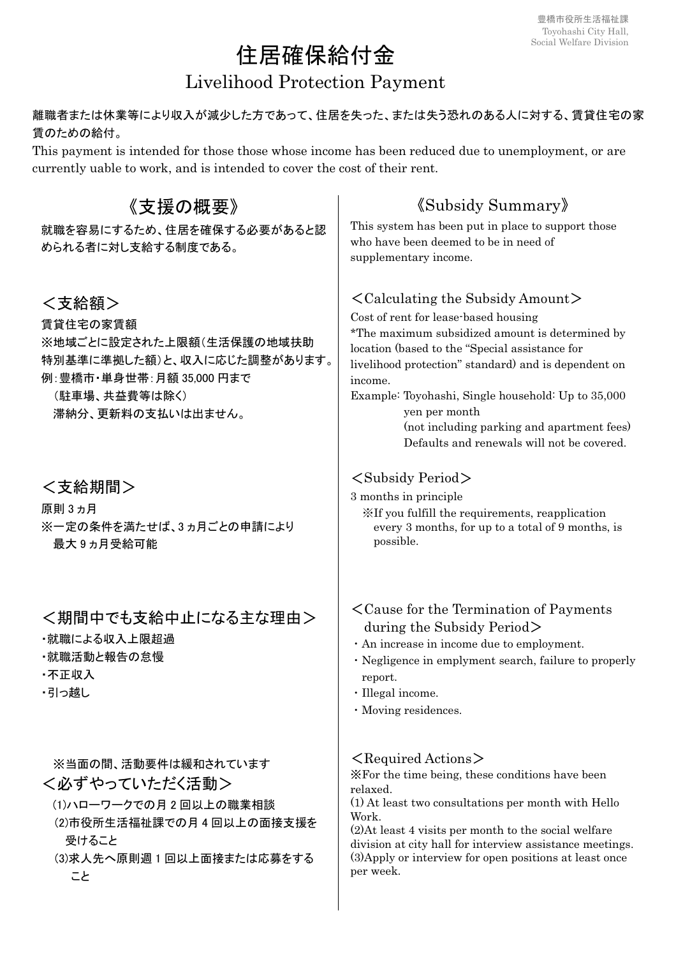# 住居確保給付金

# Livelihood Protection Payment

### 離職者または休業等により収入が減少した方であって、住居を失った、または失う恐れのある人に対する、賃貸住宅の家 賃のための給付。

This payment is intended for those those whose income has been reduced due to unemployment, or are currently uable to work, and is intended to cover the cost of their rent.

| 《支援の概要》                                                                                                                                          | <b><i>(Subsidy Summary)</i></b>                                                                                                                                                                                                                                                                                                                                                                                                       |  |  |
|--------------------------------------------------------------------------------------------------------------------------------------------------|---------------------------------------------------------------------------------------------------------------------------------------------------------------------------------------------------------------------------------------------------------------------------------------------------------------------------------------------------------------------------------------------------------------------------------------|--|--|
| 就職を容易にするため、住居を確保する必要があると認<br>められる者に対し支給する制度である。                                                                                                  | This system has been put in place to support those<br>who have been deemed to be in need of<br>supplementary income.                                                                                                                                                                                                                                                                                                                  |  |  |
| <支給額><br>賃貸住宅の家賃額<br>※地域ごとに設定された上限額(生活保護の地域扶助<br>特別基準に準拠した額)と、収入に応じた調整があります。<br>例: 豊橋市・単身世帯: 月額 35,000 円まで<br>(駐車場、共益費等は除く)<br>滞納分、更新料の支払いは出ません。 | $\langle$ Calculating the Subsidy Amount $\rangle$<br>Cost of rent for lease-based housing<br>*The maximum subsidized amount is determined by<br>location (based to the "Special assistance for<br>livelihood protection" standard) and is dependent on<br>income.<br>Example: Toyohashi, Single household: Up to 35,000<br>yen per month<br>(not including parking and apartment fees)<br>Defaults and renewals will not be covered. |  |  |
| <支給期間><br>原則 3 ヵ月<br>※一定の条件を満たせば、3ヵ月ごとの申請により<br>最大9ヵ月受給可能                                                                                        | <subsidy period=""><br/>3 months in principle<br/>XIf you fulfill the requirements, reapplication<br/>every 3 months, for up to a total of 9 months, is<br/>possible.</subsidy>                                                                                                                                                                                                                                                       |  |  |
| <期間中でも支給中止になる主な理由><br>・就職による収入上限超過<br>・就職活動と報告の怠慢<br>·不正収入<br>・引っ越し                                                                              | <cause for="" of="" payments<br="" termination="" the="">during the Subsidy Period<math>&gt;</math><br/>· An increase in income due to employment.<br/>· Negligence in emplyment search, failure to properly<br/>report.<br/>· Illegal income.<br/>· Moving residences.</cause>                                                                                                                                                       |  |  |
| ※当面の間、活動要件は緩和されています<br><必ずやっていただく活動><br>(1)ハローワークでの月2回以上の職業相談<br>(2)市役所生活福祉課での月4回以上の面接支援を<br>受けること<br>(3)求人先へ原則週1回以上面接または応募をする<br>こと             | $\leq$ Required Actions $\geq$<br>X For the time being, these conditions have been<br>relaxed.<br>(1) At least two consultations per month with Hello<br>Work.<br>(2) At least 4 visits per month to the social welfare<br>division at city hall for interview assistance meetings.<br>(3) Apply or interview for open positions at least once<br>per week.                                                                           |  |  |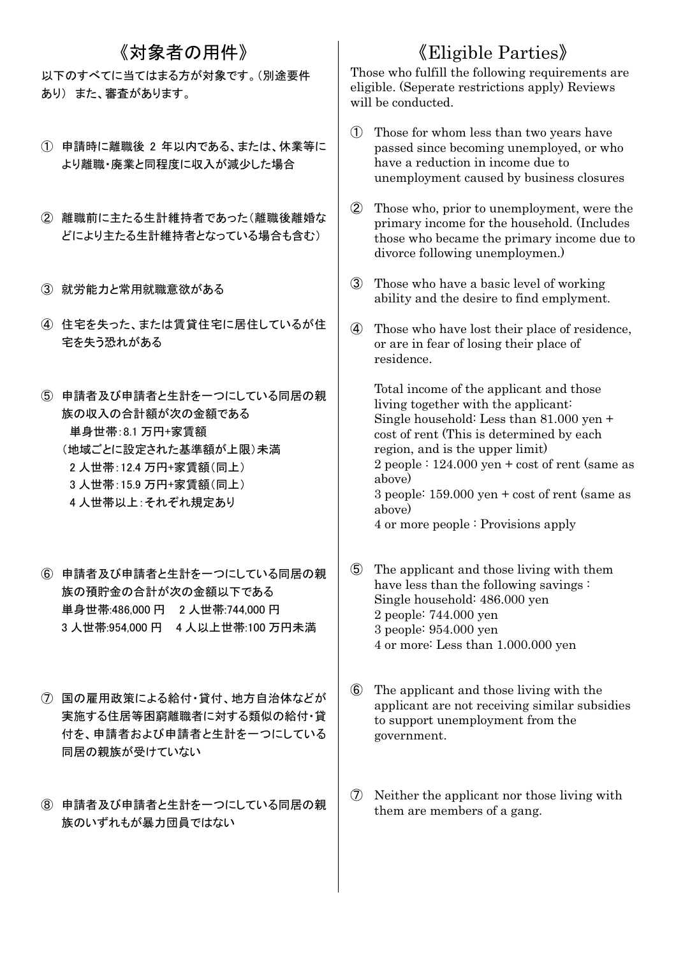### 《対象者の用件》

以下のすべてに当てはまる方が対象です。(別途要件 あり) また、審査があります。

- ① 申請時に離職後 2 年以内である、または、休業等に より離職・廃業と同程度に収入が減少した場合
- ② 離職前に主たる生計維持者であった(離職後離婚な どにより主たる生計維持者となっている場合も含む)
- ③ 就労能力と常用就職意欲がある
- ④ 住宅を失った、または賃貸住宅に居住しているが住 宅を失う恐れがある
- ⑤ 申請者及び申請者と生計を一つにしている同居の親 族の収入の合計額が次の金額である 単身世帯:8.1 万円+家賃額 (地域ごとに設定された基準額が上限)未満 2 人世帯:12.4 万円+家賃額(同上) 3 人世帯:15.9 万円+家賃額(同上) 4 人世帯以上:それぞれ規定あり
- ⑥ 申請者及び申請者と生計を一つにしている同居の親 族の預貯金の合計が次の金額以下である 単身世帯:486,000 円 2 人世帯:744,000 円 3 人世帯:954,000 円 4 人以上世帯:100 万円未満
- ⑦ 国の雇用政策による給付・貸付、地方自治体などが 実施する住居等困窮離職者に対する類似の給付・貸 付を、申請者および申請者と生計を一つにしている 同居の親族が受けていない
- ⑧ 申請者及び申請者と生計を一つにしている同居の親 族のいずれもが暴力団員ではない

## 《Eligible Parties》

Those who fulfill the following requirements are eligible. (Seperate restrictions apply) Reviews will be conducted.

- ① Those for whom less than two years have passed since becoming unemployed, or who have a reduction in income due to unemployment caused by business closures
- ② Those who, prior to unemployment, were the primary income for the household. (Includes those who became the primary income due to divorce following unemploymen.)
- ③ Those who have a basic level of working ability and the desire to find emplyment.
- ④ Those who have lost their place of residence, or are in fear of losing their place of residence.

Total income of the applicant and those living together with the applicant: Single household: Less than 81.000 yen + cost of rent (This is determined by each region, and is the upper limit) 2 people : 124.000 yen + cost of rent (same as above) 3 people: 159.000 yen + cost of rent (same as above) 4 or more people : Provisions apply

- ⑤ The applicant and those living with them have less than the following savings : Single household: 486.000 yen 2 people: 744.000 yen 3 people: 954.000 yen 4 or more: Less than 1.000.000 yen
- ⑥ The applicant and those living with the applicant are not receiving similar subsidies to support unemployment from the government.
- ⑦ Neither the applicant nor those living with them are members of a gang.